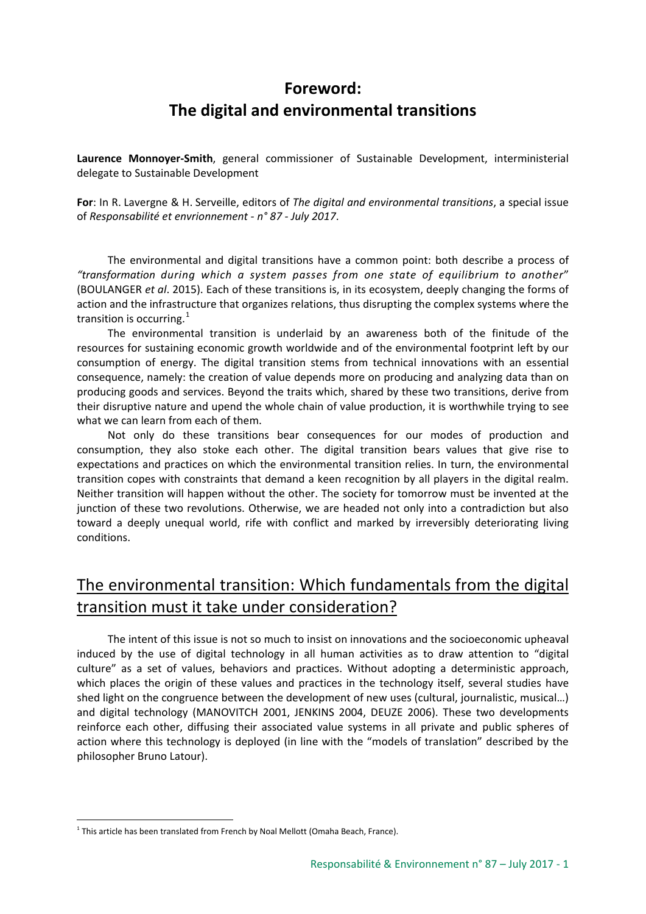# **Foreword: The digital and environmental transitions**

**Laurence Monnoyer-Smith**, general commissioner of Sustainable Development, interministerial delegate to Sustainable Development

**For**: In R. Lavergne & H. Serveille, editors of *The digital and environmental transitions*, a special issue of *Responsabilité et envrionnement - n° 87 - July 2017*.

The environmental and digital transitions have a common point: both describe a process of *"transformation during which a system passes from one state of equilibrium to another*" (BOULANGER *et al*. 2015). Each of these transitions is, in its ecosystem, deeply changing the forms of action and the infrastructure that organizes relations, thus disrupting the complex systems where the transition is occurring. $1$ 

The environmental transition is underlaid by an awareness both of the finitude of the resources for sustaining economic growth worldwide and of the environmental footprint left by our consumption of energy. The digital transition stems from technical innovations with an essential consequence, namely: the creation of value depends more on producing and analyzing data than on producing goods and services. Beyond the traits which, shared by these two transitions, derive from their disruptive nature and upend the whole chain of value production, it is worthwhile trying to see what we can learn from each of them.

Not only do these transitions bear consequences for our modes of production and consumption, they also stoke each other. The digital transition bears values that give rise to expectations and practices on which the environmental transition relies. In turn, the environmental transition copes with constraints that demand a keen recognition by all players in the digital realm. Neither transition will happen without the other. The society for tomorrow must be invented at the junction of these two revolutions. Otherwise, we are headed not only into a contradiction but also toward a deeply unequal world, rife with conflict and marked by irreversibly deteriorating living conditions.

# The environmental transition: Which fundamentals from the digital transition must it take under consideration?

The intent of this issue is not so much to insist on innovations and the socioeconomic upheaval induced by the use of digital technology in all human activities as to draw attention to "digital culture" as a set of values, behaviors and practices. Without adopting a deterministic approach, which places the origin of these values and practices in the technology itself, several studies have shed light on the congruence between the development of new uses (cultural, journalistic, musical…) and digital technology (MANOVITCH 2001, JENKINS 2004, DEUZE 2006). These two developments reinforce each other, diffusing their associated value systems in all private and public spheres of action where this technology is deployed (in line with the "models of translation" described by the philosopher Bruno Latour).

<span id="page-0-0"></span><sup>-</sup> $1$  This article has been translated from French by Noal Mellott (Omaha Beach, France).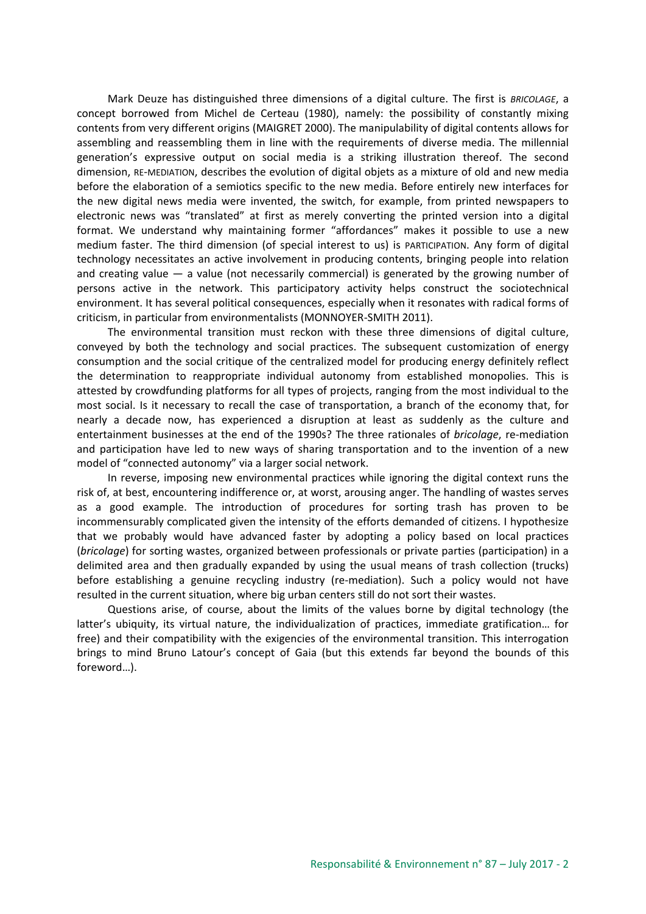Mark Deuze has distinguished three dimensions of a digital culture. The first is *BRICOLAGE*, a concept borrowed from Michel de Certeau (1980), namely: the possibility of constantly mixing contents from very different origins (MAIGRET 2000). The manipulability of digital contents allows for assembling and reassembling them in line with the requirements of diverse media. The millennial generation's expressive output on social media is a striking illustration thereof. The second dimension, RE-MEDIATION, describes the evolution of digital objets as a mixture of old and new media before the elaboration of a semiotics specific to the new media. Before entirely new interfaces for the new digital news media were invented, the switch, for example, from printed newspapers to electronic news was "translated" at first as merely converting the printed version into a digital format. We understand why maintaining former "affordances" makes it possible to use a new medium faster. The third dimension (of special interest to us) is PARTICIPATION. Any form of digital technology necessitates an active involvement in producing contents, bringing people into relation and creating value  $-$  a value (not necessarily commercial) is generated by the growing number of persons active in the network. This participatory activity helps construct the sociotechnical environment. It has several political consequences, especially when it resonates with radical forms of criticism, in particular from environmentalists (MONNOYER-SMITH 2011).

The environmental transition must reckon with these three dimensions of digital culture, conveyed by both the technology and social practices. The subsequent customization of energy consumption and the social critique of the centralized model for producing energy definitely reflect the determination to reappropriate individual autonomy from established monopolies. This is attested by crowdfunding platforms for all types of projects, ranging from the most individual to the most social. Is it necessary to recall the case of transportation, a branch of the economy that, for nearly a decade now, has experienced a disruption at least as suddenly as the culture and entertainment businesses at the end of the 1990s? The three rationales of *bricolage*, re-mediation and participation have led to new ways of sharing transportation and to the invention of a new model of "connected autonomy" via a larger social network.

In reverse, imposing new environmental practices while ignoring the digital context runs the risk of, at best, encountering indifference or, at worst, arousing anger. The handling of wastes serves as a good example. The introduction of procedures for sorting trash has proven to be incommensurably complicated given the intensity of the efforts demanded of citizens. I hypothesize that we probably would have advanced faster by adopting a policy based on local practices (*bricolage*) for sorting wastes, organized between professionals or private parties (participation) in a delimited area and then gradually expanded by using the usual means of trash collection (trucks) before establishing a genuine recycling industry (re-mediation). Such a policy would not have resulted in the current situation, where big urban centers still do not sort their wastes.

Questions arise, of course, about the limits of the values borne by digital technology (the latter's ubiquity, its virtual nature, the individualization of practices, immediate gratification… for free) and their compatibility with the exigencies of the environmental transition. This interrogation brings to mind Bruno Latour's concept of Gaia (but this extends far beyond the bounds of this foreword…).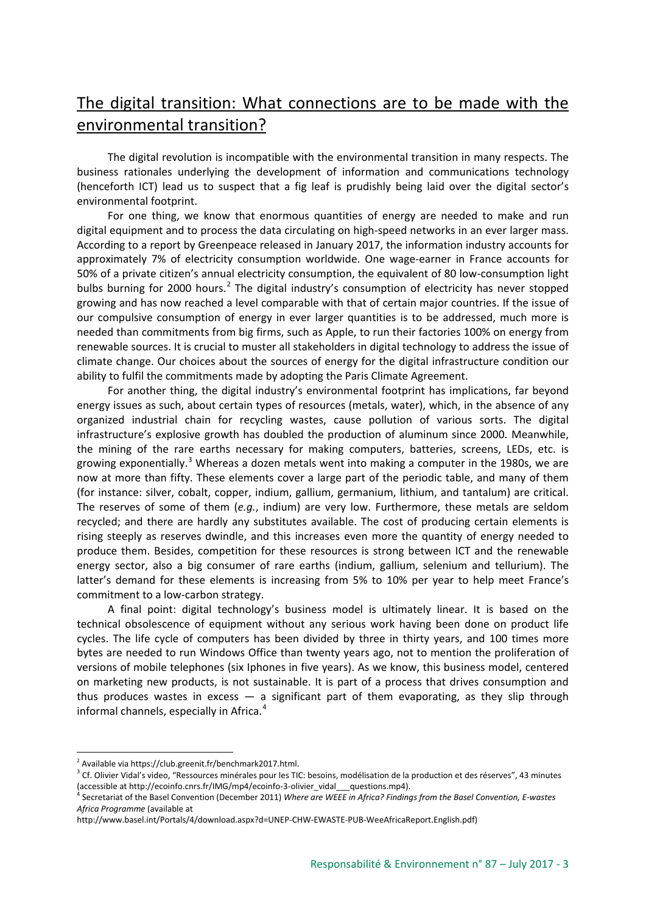## The digital transition: What connections are to be made with the environmental transition?

The digital revolution is incompatible with the environmental transition in many respects. The business rationales underlying the development of information and communications technology (henceforth ICT) lead us to suspect that a fig leaf is prudishly being laid over the digital sector's environmental footprint.

For one thing, we know that enormous quantities of energy are needed to make and run digital equipment and to process the data circulating on high-speed networks in an ever larger mass. According to a report by Greenpeace released in January 2017, the information industry accounts for approximately 7% of electricity consumption worldwide. One wage-earner in France accounts for 50% of a private citizen's annual electricity consumption, the equivalent of 80 low-consumption light bulbs burning for [2](#page-2-0)000 hours.<sup>2</sup> The digital industry's consumption of electricity has never stopped growing and has now reached a level comparable with that of certain major countries. If the issue of our compulsive consumption of energy in ever larger quantities is to be addressed, much more is needed than commitments from big firms, such as Apple, to run their factories 100% on energy from renewable sources. It is crucial to muster all stakeholders in digital technology to address the issue of climate change. Our choices about the sources of energy for the digital infrastructure condition our ability to fulfil the commitments made by adopting the Paris Climate Agreement.

For another thing, the digital industry's environmental footprint has implications, far beyond energy issues as such, about certain types of resources (metals, water), which, in the absence of any organized industrial chain for recycling wastes, cause pollution of various sorts. The digital infrastructure's explosive growth has doubled the production of aluminum since 2000. Meanwhile, the mining of the rare earths necessary for making computers, batteries, screens, LEDs, etc. is growing exponentially.<sup>[3](#page-2-1)</sup> Whereas a dozen metals went into making a computer in the 1980s, we are now at more than fifty. These elements cover a large part of the periodic table, and many of them (for instance: silver, cobalt, copper, indium, gallium, germanium, lithium, and tantalum) are critical. The reserves of some of them (*e.g.*, indium) are very low. Furthermore, these metals are seldom recycled; and there are hardly any substitutes available. The cost of producing certain elements is rising steeply as reserves dwindle, and this increases even more the quantity of energy needed to produce them. Besides, competition for these resources is strong between ICT and the renewable energy sector, also a big consumer of rare earths (indium, gallium, selenium and tellurium). The latter's demand for these elements is increasing from 5% to 10% per year to help meet France's commitment to a low-carbon strategy.

A final point: digital technology's business model is ultimately linear. It is based on the technical obsolescence of equipment without any serious work having been done on product life cycles. The life cycle of computers has been divided by three in thirty years, and 100 times more bytes are needed to run Windows Office than twenty years ago, not to mention the proliferation of versions of mobile telephones (six Iphones in five years). As we know, this business model, centered on marketing new products, is not sustainable. It is part of a process that drives consumption and thus produces wastes in excess  $-$  a significant part of them evaporating, as they slip through informal channels, especially in Africa.<sup>[4](#page-2-2)</sup>

<u>.</u>

<span id="page-2-0"></span><sup>2</sup> Available via https://club.greenit.fr/benchmark2017.html.

<span id="page-2-1"></span><sup>&</sup>lt;sup>3</sup> Cf. Olivier Vidal's video, "Ressources minérales pour les TIC: besoins, modélisation de la production et des réserves", 43 minutes (accessible at http://ecoinfo.cnrs.fr/IMG/mp4/ecoinfo-3-olivier\_vidal\_\_\_questions.mp4).

<span id="page-2-2"></span><sup>4</sup> Secretariat of the Basel Convention (December 2011) *Where are WEEE in Africa? Findings from the Basel Convention, E-wastes Africa Programme* (available at

http://www.basel.int/Portals/4/download.aspx?d=UNEP-CHW-EWASTE-PUB-WeeAfricaReport.English.pdf)